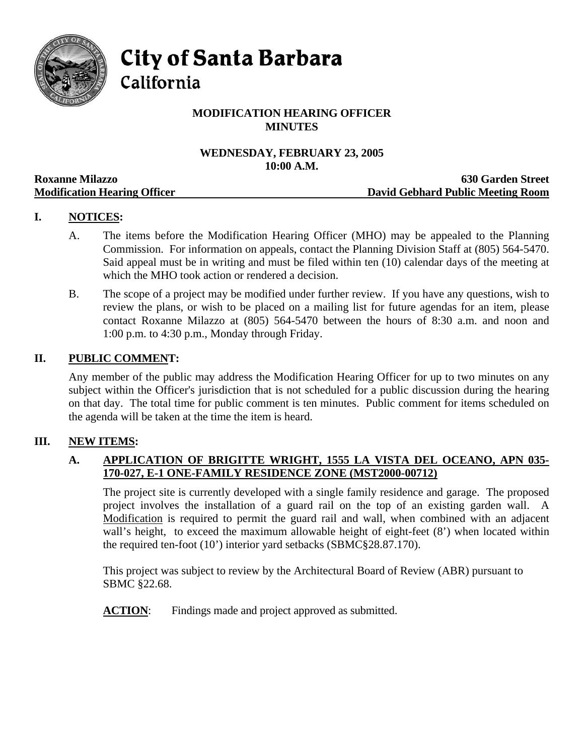

**City of Santa Barbara** 

California

# **MODIFICATION HEARING OFFICER MINUTES**

# **WEDNESDAY, FEBRUARY 23, 2005 10:00 A.M.**

|                                     | TANDA TIMAN                       |
|-------------------------------------|-----------------------------------|
| <b>Roxanne Milazzo</b>              | <b>630 Garden Street</b>          |
| <b>Modification Hearing Officer</b> | David Gebhard Public Meeting Room |

# **I. NOTICES:**

- A. The items before the Modification Hearing Officer (MHO) may be appealed to the Planning Commission. For information on appeals, contact the Planning Division Staff at (805) 564-5470. Said appeal must be in writing and must be filed within ten (10) calendar days of the meeting at which the MHO took action or rendered a decision.
- B. The scope of a project may be modified under further review. If you have any questions, wish to review the plans, or wish to be placed on a mailing list for future agendas for an item, please contact Roxanne Milazzo at (805) 564-5470 between the hours of 8:30 a.m. and noon and 1:00 p.m. to 4:30 p.m., Monday through Friday.

#### **II. PUBLIC COMMENT:**

Any member of the public may address the Modification Hearing Officer for up to two minutes on any subject within the Officer's jurisdiction that is not scheduled for a public discussion during the hearing on that day. The total time for public comment is ten minutes. Public comment for items scheduled on the agenda will be taken at the time the item is heard.

### **III. NEW ITEMS:**

#### **A. APPLICATION OF BRIGITTE WRIGHT, 1555 LA VISTA DEL OCEANO, APN 035- 170-027, E-1 ONE-FAMILY RESIDENCE ZONE (MST2000-00712)**

The project site is currently developed with a single family residence and garage. The proposed project involves the installation of a guard rail on the top of an existing garden wall. A Modification is required to permit the guard rail and wall, when combined with an adjacent wall's height, to exceed the maximum allowable height of eight-feet  $(8')$  when located within the required ten-foot (10') interior yard setbacks (SBMC§28.87.170).

This project was subject to review by the Architectural Board of Review (ABR) pursuant to SBMC §22.68.

**ACTION:** Findings made and project approved as submitted.